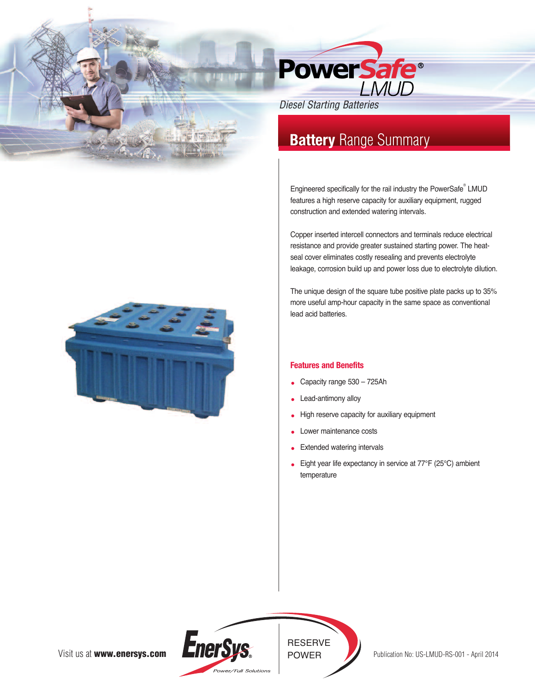

# **Battery** Range Summary

Engineered specifically for the rail industry the PowerSafe ® LMUD features a high reserve capacity for auxiliary equipment, rugged construction and extended watering intervals.

Copper inserted intercell connectors and terminals reduce electrical resistance and provide greater sustained starting power. The heatseal cover eliminates costly resealing and prevents electrolyte leakage, corrosion build up and power loss due to electrolyte dilution.

The unique design of the square tube positive plate packs up to 35% more useful amp-hour capacity in the same space as conventional lead acid batteries.

## **Features and Benefits**

- Capacity range 530 725Ah
- Lead-antimony alloy
- High reserve capacity for auxiliary equipment
- Lower maintenance costs
- Extended watering intervals
- Eight year life expectancy in service at 77℉ (25°C) ambient temperature



Visit us at **www.enersys.com**